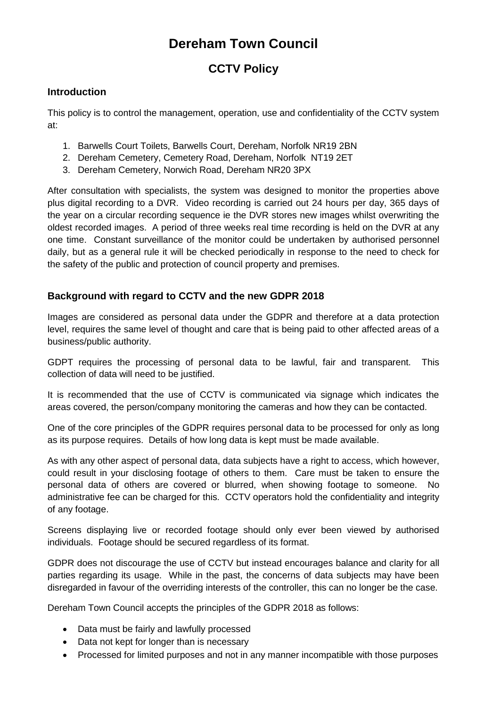# **Dereham Town Council**

# **CCTV Policy**

## **Introduction**

This policy is to control the management, operation, use and confidentiality of the CCTV system at:

- 1. Barwells Court Toilets, Barwells Court, Dereham, Norfolk NR19 2BN
- 2. Dereham Cemetery, Cemetery Road, Dereham, Norfolk NT19 2ET
- 3. Dereham Cemetery, Norwich Road, Dereham NR20 3PX

After consultation with specialists, the system was designed to monitor the properties above plus digital recording to a DVR. Video recording is carried out 24 hours per day, 365 days of the year on a circular recording sequence ie the DVR stores new images whilst overwriting the oldest recorded images. A period of three weeks real time recording is held on the DVR at any one time. Constant surveillance of the monitor could be undertaken by authorised personnel daily, but as a general rule it will be checked periodically in response to the need to check for the safety of the public and protection of council property and premises.

# **Background with regard to CCTV and the new GDPR 2018**

Images are considered as personal data under the GDPR and therefore at a data protection level, requires the same level of thought and care that is being paid to other affected areas of a business/public authority.

GDPT requires the processing of personal data to be lawful, fair and transparent. This collection of data will need to be justified.

It is recommended that the use of CCTV is communicated via signage which indicates the areas covered, the person/company monitoring the cameras and how they can be contacted.

One of the core principles of the GDPR requires personal data to be processed for only as long as its purpose requires. Details of how long data is kept must be made available.

As with any other aspect of personal data, data subjects have a right to access, which however, could result in your disclosing footage of others to them. Care must be taken to ensure the personal data of others are covered or blurred, when showing footage to someone. administrative fee can be charged for this. CCTV operators hold the confidentiality and integrity of any footage.

Screens displaying live or recorded footage should only ever been viewed by authorised individuals. Footage should be secured regardless of its format.

GDPR does not discourage the use of CCTV but instead encourages balance and clarity for all parties regarding its usage. While in the past, the concerns of data subjects may have been disregarded in favour of the overriding interests of the controller, this can no longer be the case.

Dereham Town Council accepts the principles of the GDPR 2018 as follows:

- Data must be fairly and lawfully processed
- Data not kept for longer than is necessary
- Processed for limited purposes and not in any manner incompatible with those purposes